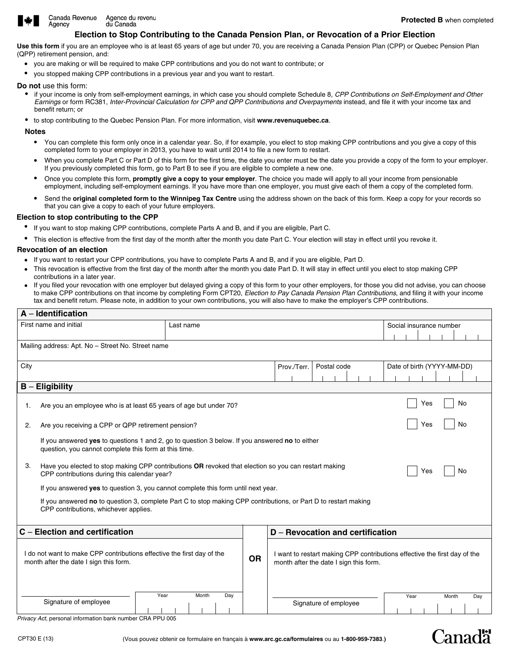

Canadë

### **Election to Stop Contributing to the Canada Pension Plan, or Revocation of a Prior Election**

**Use this form** if you are an employee who is at least 65 years of age but under 70, you are receiving a Canada Pension Plan (CPP) or Quebec Pension Plan (QPP) retirement pension, and:

- you are making or will be required to make CPP contributions and you do not want to contribute; or
- you stopped making CPP contributions in a previous year and you want to restart.

#### **Do not** use this form:

Agency

- if your income is only from self-employment earnings, in which case you should complete Schedule 8*, CPP Contributions on Self-Employment and Other Earnings* or form RC381, *Inter-Provincial Calculation for CPP and QPP Contributions and Overpayments* instead, and file it with your income tax and benefit return; or
- to stop contributing to the Quebec Pension Plan. For more information, visit **www.revenuquebec.ca**.

#### **Notes**

- You can complete this form only once in a calendar year. So, if for example, you elect to stop making CPP contributions and you give a copy of this completed form to your employer in 2013, you have to wait until 2014 to file a new form to restart.
- When you complete Part C or Part D of this form for the first time, the date you enter must be the date you provide a copy of the form to your employer. If you previously completed this form, go to Part B to see if you are eligible to complete a new one.
- Once you complete this form, **promptly give a copy to your employer**. The choice you made will apply to all your income from pensionable employment, including self-employment earnings. If you have more than one employer, you must give each of them a copy of the completed form.
- Send the **original completed form to the Winnipeg Tax Centre** using the address shown on the back of this form. Keep a copy for your records so that you can give a copy to each of your future employers.

#### **Election to stop contributing to the CPP**

- If you want to stop making CPP contributions, complete Parts A and B, and if you are eligible, Part C.
- This election is effective from the first day of the month after the month you date Part C. Your election will stay in effect until you revoke it.

#### **Revocation of an election**

- If you want to restart your CPP contributions, you have to complete Parts A and B, and if you are eligible, Part D.
- This revocation is effective from the first day of the month after the month you date Part D. It will stay in effect until you elect to stop making CPP contributions in a later year.
- If you filed your revocation with one employer but delayed giving a copy of this form to your other employers, for those you did not advise, you can choose to make CPP contributions on that income by completing Form CPT20, *Election to Pay Canada Pension Plan Contributions*, and filing it with your income tax and benefit return. Please note, in addition to your own contributions, you will also have to make the employer's CPP contributions.

#### **A** – **Identification**

| First name and initial<br>Last name                                                                                                                      |                                                                                                                                                                   |              |           |                                                                                                                     |                       |  | Social insurance number    |           |  |       |  |     |
|----------------------------------------------------------------------------------------------------------------------------------------------------------|-------------------------------------------------------------------------------------------------------------------------------------------------------------------|--------------|-----------|---------------------------------------------------------------------------------------------------------------------|-----------------------|--|----------------------------|-----------|--|-------|--|-----|
| Mailing address: Apt. No - Street No. Street name                                                                                                        |                                                                                                                                                                   |              |           |                                                                                                                     |                       |  |                            |           |  |       |  |     |
|                                                                                                                                                          |                                                                                                                                                                   |              |           |                                                                                                                     |                       |  |                            |           |  |       |  |     |
| City                                                                                                                                                     |                                                                                                                                                                   |              |           | Postal code<br>Prov./Terr.                                                                                          |                       |  | Date of birth (YYYY-MM-DD) |           |  |       |  |     |
|                                                                                                                                                          |                                                                                                                                                                   |              |           |                                                                                                                     |                       |  |                            |           |  |       |  |     |
| $B -$ Eligibility                                                                                                                                        |                                                                                                                                                                   |              |           |                                                                                                                     |                       |  |                            |           |  |       |  |     |
| 1.                                                                                                                                                       | Are you an employee who is at least 65 years of age but under 70?                                                                                                 |              |           |                                                                                                                     |                       |  |                            | No<br>Yes |  |       |  |     |
| 2.                                                                                                                                                       | Are you receiving a CPP or QPP retirement pension?                                                                                                                |              |           |                                                                                                                     |                       |  | No<br>Yes                  |           |  |       |  |     |
| If you answered yes to questions 1 and 2, go to question 3 below. If you answered no to either<br>question, you cannot complete this form at this time.  |                                                                                                                                                                   |              |           |                                                                                                                     |                       |  |                            |           |  |       |  |     |
| З.                                                                                                                                                       | Have you elected to stop making CPP contributions OR revoked that election so you can restart making<br>No<br>Yes<br>CPP contributions during this calendar year? |              |           |                                                                                                                     |                       |  |                            |           |  |       |  |     |
|                                                                                                                                                          | If you answered yes to question 3, you cannot complete this form until next year.                                                                                 |              |           |                                                                                                                     |                       |  |                            |           |  |       |  |     |
| If you answered no to question 3, complete Part C to stop making CPP contributions, or Part D to restart making<br>CPP contributions, whichever applies. |                                                                                                                                                                   |              |           |                                                                                                                     |                       |  |                            |           |  |       |  |     |
| $C -$ Election and certification                                                                                                                         |                                                                                                                                                                   |              |           | D - Revocation and certification                                                                                    |                       |  |                            |           |  |       |  |     |
| I do not want to make CPP contributions effective the first day of the<br>month after the date I sign this form.                                         |                                                                                                                                                                   |              | <b>OR</b> | I want to restart making CPP contributions effective the first day of the<br>month after the date I sign this form. |                       |  |                            |           |  |       |  |     |
|                                                                                                                                                          | Year<br>Signature of employee                                                                                                                                     | Month<br>Day |           |                                                                                                                     | Signature of employee |  |                            | Year      |  | Month |  | Day |

*Privacy Act,* personal information bank number CRA PPU 005